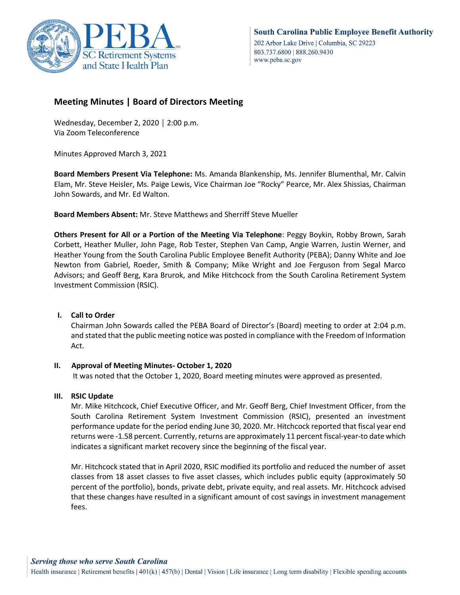

# **Meeting Minutes | Board of Directors Meeting**

Wednesday, December 2, 2020 │ 2:00 p.m. Via Zoom Teleconference

Minutes Approved March 3, 2021

**Board Members Present Via Telephone:** Ms. Amanda Blankenship, Ms. Jennifer Blumenthal, Mr. Calvin Elam, Mr. Steve Heisler, Ms. Paige Lewis, Vice Chairman Joe "Rocky" Pearce, Mr. Alex Shissias, Chairman John Sowards, and Mr. Ed Walton.

**Board Members Absent:** Mr. Steve Matthews and Sherriff Steve Mueller

**Others Present for All or a Portion of the Meeting Via Telephone**: Peggy Boykin, Robby Brown, Sarah Corbett, Heather Muller, John Page, Rob Tester, Stephen Van Camp, Angie Warren, Justin Werner, and Heather Young from the South Carolina Public Employee Benefit Authority (PEBA); Danny White and Joe Newton from Gabriel, Roeder, Smith & Company; Mike Wright and Joe Ferguson from Segal Marco Advisors; and Geoff Berg, Kara Brurok, and Mike Hitchcock from the South Carolina Retirement System Investment Commission (RSIC).

## **I. Call to Order**

Chairman John Sowards called the PEBA Board of Director's (Board) meeting to order at 2:04 p.m. and stated that the public meeting notice was posted in compliance with the Freedom of Information Act.

# **II. Approval of Meeting Minutes- October 1, 2020**

It was noted that the October 1, 2020, Board meeting minutes were approved as presented.

## **III. RSIC Update**

Mr. Mike Hitchcock, Chief Executive Officer, and Mr. Geoff Berg, Chief Investment Officer, from the South Carolina Retirement System Investment Commission (RSIC), presented an investment performance update for the period ending June 30, 2020. Mr. Hitchcock reported that fiscal year end returns were -1.58 percent. Currently, returns are approximately 11 percent fiscal-year-to date which indicates a significant market recovery since the beginning of the fiscal year.

Mr. Hitchcock stated that in April 2020, RSIC modified its portfolio and reduced the number of asset classes from 18 asset classes to five asset classes, which includes public equity (approximately 50 percent of the portfolio), bonds, private debt, private equity, and real assets. Mr. Hitchcock advised that these changes have resulted in a significant amount of cost savings in investment management fees.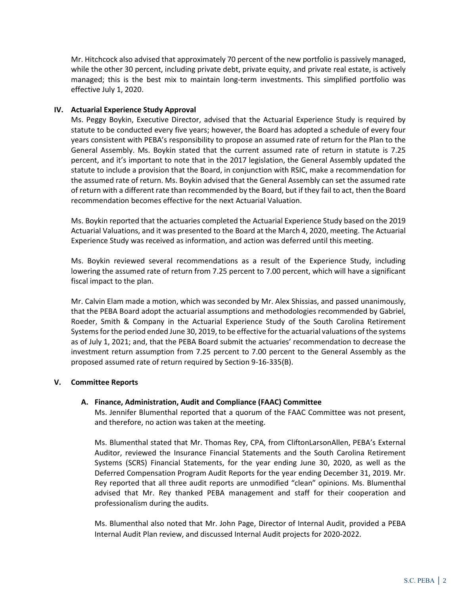Mr. Hitchcock also advised that approximately 70 percent of the new portfolio is passively managed, while the other 30 percent, including private debt, private equity, and private real estate, is actively managed; this is the best mix to maintain long-term investments. This simplified portfolio was effective July 1, 2020.

## **IV. Actuarial Experience Study Approval**

Ms. Peggy Boykin, Executive Director, advised that the Actuarial Experience Study is required by statute to be conducted every five years; however, the Board has adopted a schedule of every four years consistent with PEBA's responsibility to propose an assumed rate of return for the Plan to the General Assembly. Ms. Boykin stated that the current assumed rate of return in statute is 7.25 percent, and it's important to note that in the 2017 legislation, the General Assembly updated the statute to include a provision that the Board, in conjunction with RSIC, make a recommendation for the assumed rate of return. Ms. Boykin advised that the General Assembly can set the assumed rate of return with a different rate than recommended by the Board, but if they fail to act, then the Board recommendation becomes effective for the next Actuarial Valuation.

Ms. Boykin reported that the actuaries completed the Actuarial Experience Study based on the 2019 Actuarial Valuations, and it was presented to the Board at the March 4, 2020, meeting. The Actuarial Experience Study was received as information, and action was deferred until this meeting.

Ms. Boykin reviewed several recommendations as a result of the Experience Study, including lowering the assumed rate of return from 7.25 percent to 7.00 percent, which will have a significant fiscal impact to the plan.

Mr. Calvin Elam made a motion, which was seconded by Mr. Alex Shissias, and passed unanimously, that the PEBA Board adopt the actuarial assumptions and methodologies recommended by Gabriel, Roeder, Smith & Company in the Actuarial Experience Study of the South Carolina Retirement Systems for the period ended June 30, 2019, to be effective for the actuarial valuations of the systems as of July 1, 2021; and, that the PEBA Board submit the actuaries' recommendation to decrease the investment return assumption from 7.25 percent to 7.00 percent to the General Assembly as the proposed assumed rate of return required by Section 9-16-335(B).

## **V. Committee Reports**

## **A. Finance, Administration, Audit and Compliance (FAAC) Committee**

Ms. Jennifer Blumenthal reported that a quorum of the FAAC Committee was not present, and therefore, no action was taken at the meeting.

Ms. Blumenthal stated that Mr. Thomas Rey, CPA, from CliftonLarsonAllen, PEBA's External Auditor, reviewed the Insurance Financial Statements and the South Carolina Retirement Systems (SCRS) Financial Statements, for the year ending June 30, 2020, as well as the Deferred Compensation Program Audit Reports for the year ending December 31, 2019. Mr. Rey reported that all three audit reports are unmodified "clean" opinions. Ms. Blumenthal advised that Mr. Rey thanked PEBA management and staff for their cooperation and professionalism during the audits.

Ms. Blumenthal also noted that Mr. John Page, Director of Internal Audit, provided a PEBA Internal Audit Plan review, and discussed Internal Audit projects for 2020-2022.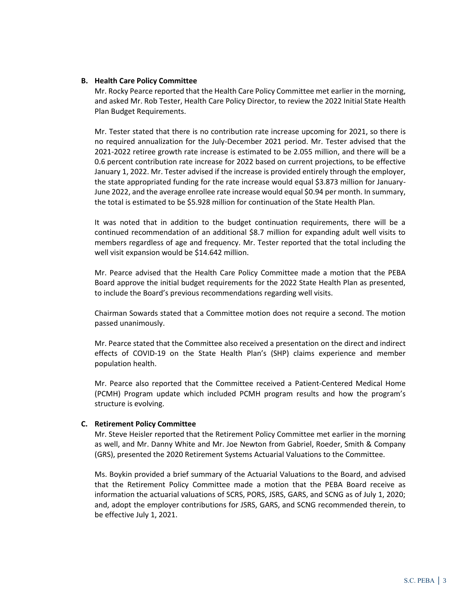#### **B. Health Care Policy Committee**

Mr. Rocky Pearce reported that the Health Care Policy Committee met earlier in the morning, and asked Mr. Rob Tester, Health Care Policy Director, to review the 2022 Initial State Health Plan Budget Requirements.

Mr. Tester stated that there is no contribution rate increase upcoming for 2021, so there is no required annualization for the July-December 2021 period. Mr. Tester advised that the 2021-2022 retiree growth rate increase is estimated to be 2.055 million, and there will be a 0.6 percent contribution rate increase for 2022 based on current projections, to be effective January 1, 2022. Mr. Tester advised if the increase is provided entirely through the employer, the state appropriated funding for the rate increase would equal \$3.873 million for January-June 2022, and the average enrollee rate increase would equal \$0.94 per month. In summary, the total is estimated to be \$5.928 million for continuation of the State Health Plan.

It was noted that in addition to the budget continuation requirements, there will be a continued recommendation of an additional \$8.7 million for expanding adult well visits to members regardless of age and frequency. Mr. Tester reported that the total including the well visit expansion would be \$14.642 million.

Mr. Pearce advised that the Health Care Policy Committee made a motion that the PEBA Board approve the initial budget requirements for the 2022 State Health Plan as presented, to include the Board's previous recommendations regarding well visits.

Chairman Sowards stated that a Committee motion does not require a second. The motion passed unanimously.

Mr. Pearce stated that the Committee also received a presentation on the direct and indirect effects of COVID-19 on the State Health Plan's (SHP) claims experience and member population health.

Mr. Pearce also reported that the Committee received a Patient-Centered Medical Home (PCMH) Program update which included PCMH program results and how the program's structure is evolving.

#### **C. Retirement Policy Committee**

Mr. Steve Heisler reported that the Retirement Policy Committee met earlier in the morning as well, and Mr. Danny White and Mr. Joe Newton from Gabriel, Roeder, Smith & Company (GRS), presented the 2020 Retirement Systems Actuarial Valuations to the Committee.

Ms. Boykin provided a brief summary of the Actuarial Valuations to the Board, and advised that the Retirement Policy Committee made a motion that the PEBA Board receive as information the actuarial valuations of SCRS, PORS, JSRS, GARS, and SCNG as of July 1, 2020; and, adopt the employer contributions for JSRS, GARS, and SCNG recommended therein, to be effective July 1, 2021.